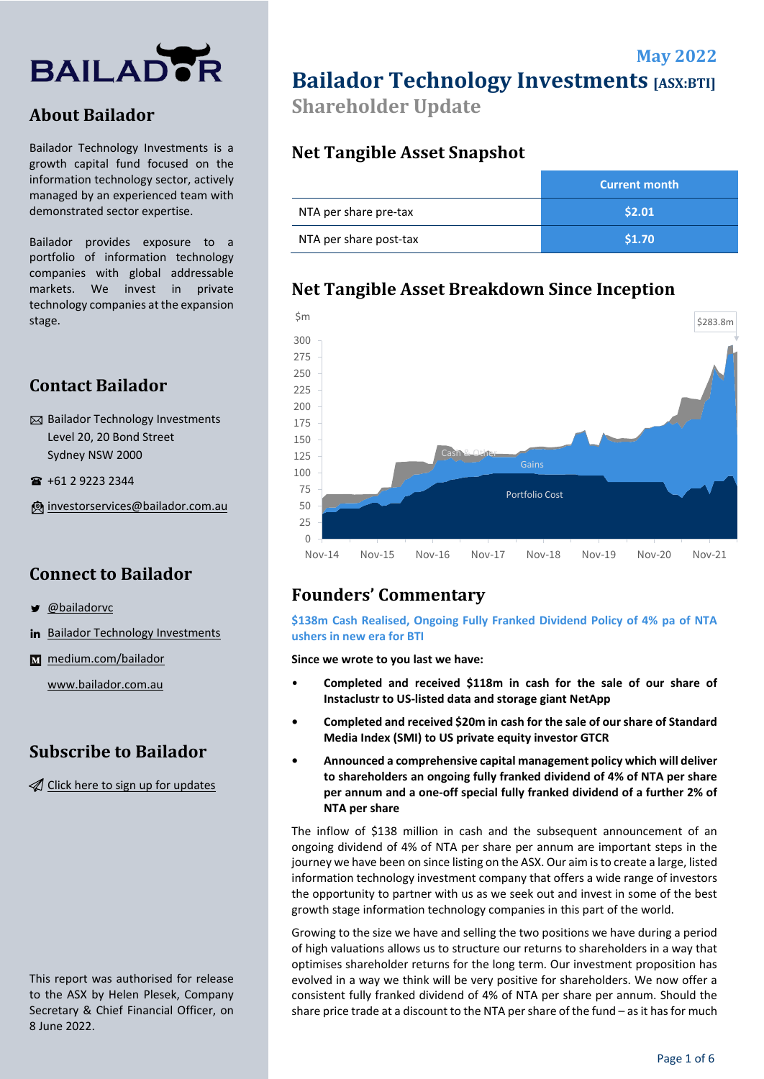

## **About Bailador**

Bailador Technology Investments is a growth capital fund focused on the information technology sector, actively managed by an experienced team with demonstrated sector expertise.

Bailador provides exposure to a portfolio of information technology companies with global addressable markets. We invest in private technology companies at the expansion stage.

## **Contact Bailador**

 $\boxtimes$  Bailador Technology Investments Level 20, 20 Bond Street Sydney NSW 2000

+61 2 9223 2344

[investorservices@bailador.com.au](mailto:investorservices@bailador.com.au)

## **Connect to Bailador**

- [@bailadorvc](https://twitter.com/bailadorvc)
- in [Bailador Technology Investments](https://www.linkedin.com/company/9426107/)
- **M** [medium.com/bailador](https://medium.com/bailador)

[www.bailador.com.au](http://www.bailador.com.au/)

## **Subscribe to Bailador**

 $\mathcal A$  [Click here to sign up for updates](http://eepurl.com/c5SRVz)

This report was authorised for release to the ASX by Helen Plesek, Company Secretary & Chief Financial Officer, on 8 June 2022.

**Bailador Technology Investments [ASX:BTI]** 

**May 2022** 

**Shareholder Update**

## **Net Tangible Asset Snapshot**

|                        | Current month |
|------------------------|---------------|
| NTA per share pre-tax  | \$2.01        |
| NTA per share post-tax | \$1.70        |

## **Net Tangible Asset Breakdown Since Inception**



# **Founders' Commentary**

**\$138m Cash Realised, Ongoing Fully Franked Dividend Policy of 4% pa of NTA ushers in new era for BTI**

**Since we wrote to you last we have:** 

- **Completed and received \$118m in cash for the sale of our share of Instaclustr to US-listed data and storage giant NetApp**
- **Completed and received \$20m in cash for the sale of our share of Standard Media Index (SMI) to US private equity investor GTCR**
- **Announced a comprehensive capital management policy which will deliver to shareholders an ongoing fully franked dividend of 4% of NTA per share per annum and a one-off special fully franked dividend of a further 2% of NTA per share**

The inflow of \$138 million in cash and the subsequent announcement of an ongoing dividend of 4% of NTA per share per annum are important steps in the journey we have been on since listing on the ASX. Our aim is to create a large, listed information technology investment company that offers a wide range of investors the opportunity to partner with us as we seek out and invest in some of the best growth stage information technology companies in this part of the world.

Growing to the size we have and selling the two positions we have during a period of high valuations allows us to structure our returns to shareholders in a way that optimises shareholder returns for the long term. Our investment proposition has evolved in a way we think will be very positive for shareholders. We now offer a consistent fully franked dividend of 4% of NTA per share per annum. Should the share price trade at a discount to the NTA per share of the fund – as it has for much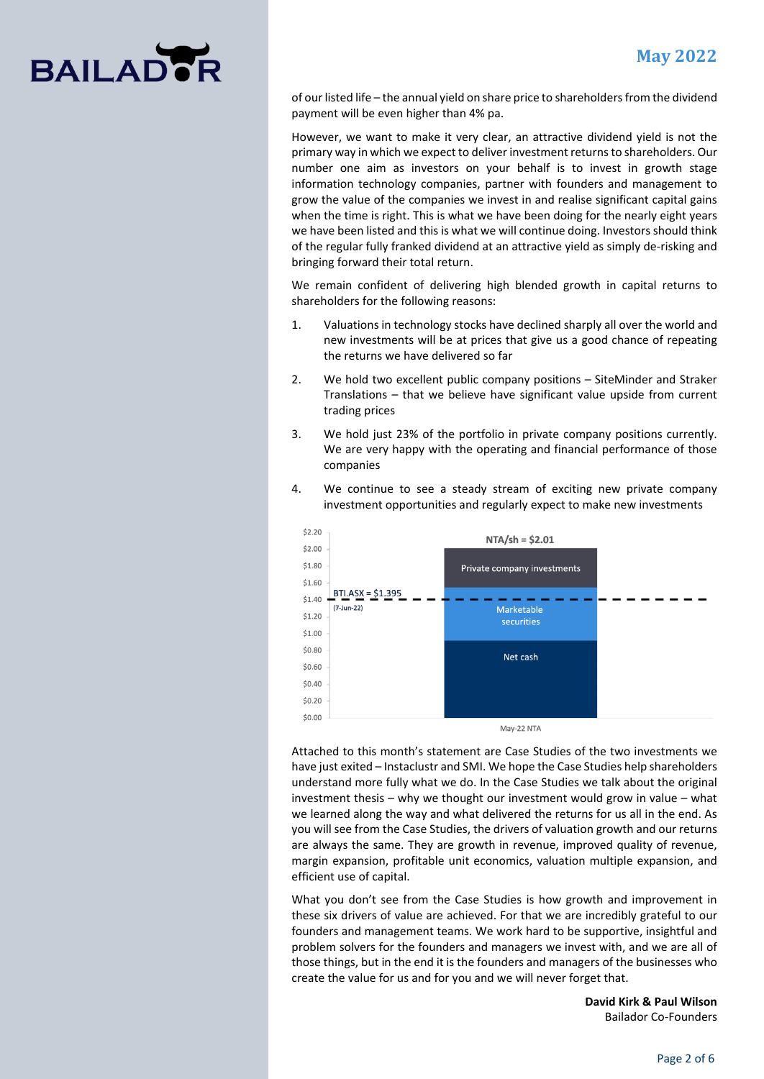# **BAILAD**

of our listed life – the annual yield on share price to shareholders from the dividend payment will be even higher than 4% pa.

However, we want to make it very clear, an attractive dividend yield is not the primary way in which we expect to deliver investment returns to shareholders. Our number one aim as investors on your behalf is to invest in growth stage information technology companies, partner with founders and management to grow the value of the companies we invest in and realise significant capital gains when the time is right. This is what we have been doing for the nearly eight years we have been listed and this is what we will continue doing. Investors should think of the regular fully franked dividend at an attractive yield as simply de-risking and bringing forward their total return.

We remain confident of delivering high blended growth in capital returns to shareholders for the following reasons:

- 1. Valuations in technology stocks have declined sharply all over the world and new investments will be at prices that give us a good chance of repeating the returns we have delivered so far
- 2. We hold two excellent public company positions SiteMinder and Straker Translations – that we believe have significant value upside from current trading prices
- 3. We hold just 23% of the portfolio in private company positions currently. We are very happy with the operating and financial performance of those companies



4. We continue to see a steady stream of exciting new private company investment opportunities and regularly expect to make new investments

Attached to this month's statement are Case Studies of the two investments we have just exited – Instaclustr and SMI. We hope the Case Studies help shareholders understand more fully what we do. In the Case Studies we talk about the original investment thesis – why we thought our investment would grow in value – what we learned along the way and what delivered the returns for us all in the end. As you will see from the Case Studies, the drivers of valuation growth and our returns are always the same. They are growth in revenue, improved quality of revenue, margin expansion, profitable unit economics, valuation multiple expansion, and efficient use of capital.

What you don't see from the Case Studies is how growth and improvement in these six drivers of value are achieved. For that we are incredibly grateful to our founders and management teams. We work hard to be supportive, insightful and problem solvers for the founders and managers we invest with, and we are all of those things, but in the end it is the founders and managers of the businesses who create the value for us and for you and we will never forget that.

> **David Kirk & Paul Wilson** Bailador Co-Founders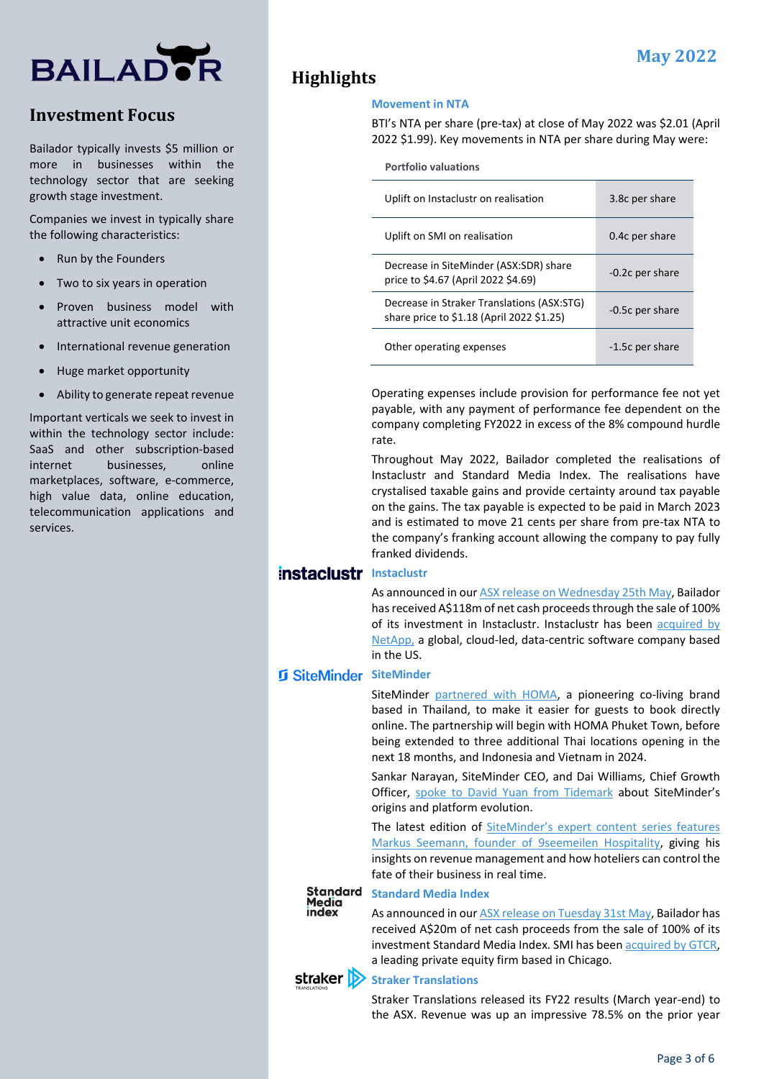# **BAILADER**

# **Investment Focus**

Bailador typically invests \$5 million or more in businesses within the technology sector that are seeking growth stage investment.

Companies we invest in typically share the following characteristics:

- Run by the Founders
- Two to six years in operation
- Proven business model with attractive unit economics
- International revenue generation
- Huge market opportunity
- Ability to generate repeat revenue

Important verticals we seek to invest in within the technology sector include: SaaS and other subscription-based internet businesses, online marketplaces, software, e-commerce, high value data, online education, telecommunication applications and services.

# **Highlights**

#### **Movement in NTA**

BTI's NTA per share (pre-tax) at close of May 2022 was \$2.01 (April 2022 \$1.99). Key movements in NTA per share during May were:

**Portfolio valuations**

| Uplift on Instaclustr on realisation                                                    | 3.8c per share  |
|-----------------------------------------------------------------------------------------|-----------------|
| Uplift on SMI on realisation                                                            | 0.4c per share  |
| Decrease in SiteMinder (ASX:SDR) share<br>price to \$4.67 (April 2022 \$4.69)           | -0.2c per share |
| Decrease in Straker Translations (ASX:STG)<br>share price to \$1.18 (April 2022 \$1.25) | -0.5c per share |
| Other operating expenses                                                                | -1.5c per share |

Operating expenses include provision for performance fee not yet payable, with any payment of performance fee dependent on the company completing FY2022 in excess of the 8% compound hurdle rate.

Throughout May 2022, Bailador completed the realisations of Instaclustr and Standard Media Index. The realisations have crystalised taxable gains and provide certainty around tax payable on the gains. The tax payable is expected to be paid in March 2023 and is estimated to move 21 cents per share from pre-tax NTA to the company's franking account allowing the company to pay fully franked dividends.

## **Instaclustr Instaclustr**

As announced in ou[r ASX release on Wednesday 25th May,](https://bailador.com.au/assets/downloads/220525_Insta_PR_Closing_ASX.pdf) Bailador has received A\$118m of net cash proceeds through the sale of 100% of its investment in Instaclustr. Instaclustr has been [acquired by](https://bailador.com.au/news/netapp-closes-acquisition-of-instaclustr)  [NetApp,](https://bailador.com.au/news/netapp-closes-acquisition-of-instaclustr) a global, cloud-led, data-centric software company based in the US.

### **SiteMinder SiteMinder**

SiteMinder [partnered with HOMA,](https://bailador.com.au/news/homa-partners-with-siteminder-to-ride-new-wave-of-co-living-reservations-in-thailand) a pioneering co-living brand based in Thailand, to make it easier for guests to book directly online. The partnership will begin with HOMA Phuket Town, before being extended to three additional Thai locations opening in the next 18 months, and Indonesia and Vietnam in 2024.

Sankar Narayan, SiteMinder CEO, and Dai Williams, Chief Growth Officer, [spoke to David Yuan from Tidemark](https://bailador.com.au/news/siteminder-extending-into-consumer-demand) about SiteMinder's origins and platform evolution.

The latest edition of SiteMinder's expert content series features [Markus Seemann, founder of 9seemeilen Hospitality,](https://bailador.com.au/news/siteminders-expert-content-series-revenue-management-edition-with-markus-seemann) giving his insights on revenue management and how hoteliers can control the fate of their business in real time.

#### **Standard** Media index

#### **Standard Media Index**

As announced in our **ASX release on Tuesday 31st May**, Bailador has received A\$20m of net cash proceeds from the sale of 100% of its investment Standard Media Index. SMI has bee[n acquired by GTCR,](https://bailador.com.au/news/gtcr-and-dreamscape-announce-strategic-investment-in-standard-media-index) a leading private equity firm based in Chicago.



#### **Straker >>** Straker Translations

Straker Translations released its FY22 results (March year-end) to the ASX. Revenue was up an impressive 78.5% on the prior year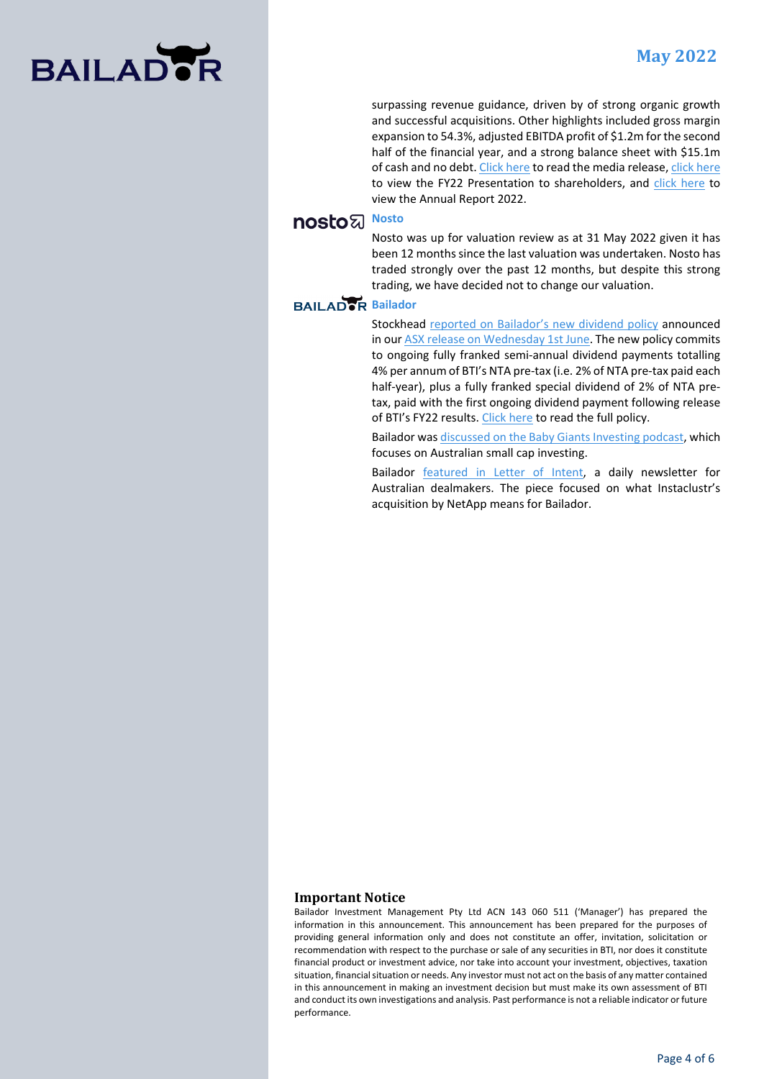

surpassing revenue guidance, driven by of strong organic growth and successful acquisitions. Other highlights included gross margin expansion to 54.3%, adjusted EBITDA profit of \$1.2m for the second half of the financial year, and a strong balance sheet with \$15.1m of cash and no debt[. Click here](https://cdn-api.markitdigital.com/apiman-gateway/ASX/asx-research/1.0/file/2924-02526683-2A1376486?access_token=83ff96335c2d45a094df02a206a39ff4) to read the media release[, click here](https://cdn-api.markitdigital.com/apiman-gateway/ASX/asx-research/1.0/file/2924-02526685-2A1376488?access_token=83ff96335c2d45a094df02a206a39ff4) to view the FY22 Presentation to shareholders, and [click here](https://cdn-api.markitdigital.com/apiman-gateway/ASX/asx-research/1.0/file/2924-02526680-2A1376484?access_token=83ff96335c2d45a094df02a206a39ff4) to view the Annual Report 2022.

### **nosto**<sub>&</sub> Nosto

Nosto was up for valuation review as at 31 May 2022 given it has been 12 months since the last valuation was undertaken. Nosto has traded strongly over the past 12 months, but despite this strong trading, we have decided not to change our valuation.

#### **BAILADOR** Bailador

Stockhead [reported on Bailador's new dividend policy](https://bailador.com.au/news/stockhead-dividend-and-conquer-bailador-technology-investments-new-dividend-policy-as-nta-grows) announced in ou[r ASX release on Wednesday 1st June.](https://bailador.com.au/assets/downloads/20220531_BTI_Dividend_Policy.pdf) The new policy commits to ongoing fully franked semi-annual dividend payments totalling 4% per annum of BTI's NTA pre-tax (i.e. 2% of NTA pre-tax paid each half-year), plus a fully franked special dividend of 2% of NTA pretax, paid with the first ongoing dividend payment following release of BTI's FY22 results[. Click here](https://bailador.com.au/assets/downloads/20220531_BTI_Dividend_Policy_policy_only.pdf) to read the full policy.

Bailador wa[s discussed on the Baby Giants Investing podcast,](https://bailador.com.au/news/bailador-on-baby-giants-investing-podcast) which focuses on Australian small cap investing.

Bailador [featured in Letter of Intent,](https://bailador.com.au/news/letter-of-intent-on-instaclustr-transaction-close) a daily newsletter for Australian dealmakers. The piece focused on what Instaclustr's acquisition by NetApp means for Bailador.

#### **Important Notice**

Bailador Investment Management Pty Ltd ACN 143 060 511 ('Manager') has prepared the information in this announcement. This announcement has been prepared for the purposes of providing general information only and does not constitute an offer, invitation, solicitation or recommendation with respect to the purchase or sale of any securities in BTI, nor does it constitute financial product or investment advice, nor take into account your investment, objectives, taxation situation, financial situation or needs. Any investor must not act on the basis of any matter contained in this announcement in making an investment decision but must make its own assessment of BTI and conduct its own investigations and analysis. Past performance is not a reliable indicator or future performance.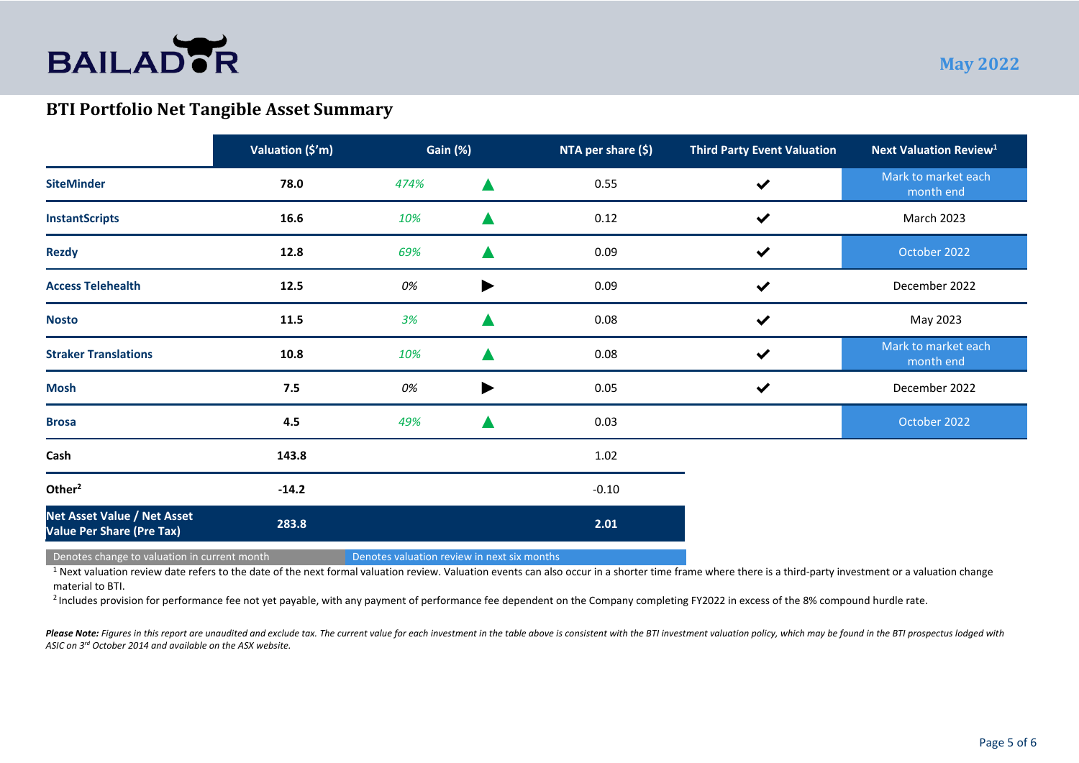

# **BTI Portfolio Net Tangible Asset Summary**

|                                                                        | Valuation (\$'m) | Gain (%) |                       | NTA per share (\$) | <b>Third Party Event Valuation</b> | <b>Next Valuation Review<sup>1</sup></b> |
|------------------------------------------------------------------------|------------------|----------|-----------------------|--------------------|------------------------------------|------------------------------------------|
| <b>SiteMinder</b>                                                      | 78.0             | 474%     |                       | 0.55               | $\checkmark$                       | Mark to market each<br>month end         |
| <b>InstantScripts</b>                                                  | 16.6             | 10%      |                       | 0.12               | $\checkmark$                       | March 2023                               |
| <b>Rezdy</b>                                                           | 12.8             | 69%      |                       | 0.09               | $\checkmark$                       | October 2022                             |
| <b>Access Telehealth</b>                                               | 12.5             | 0%       | ▶                     | 0.09               | $\checkmark$                       | December 2022                            |
| <b>Nosto</b>                                                           | 11.5             | 3%       |                       | 0.08               | $\checkmark$                       | May 2023                                 |
| <b>Straker Translations</b>                                            | 10.8             | 10%      |                       | 0.08               | $\checkmark$                       | Mark to market each<br>month end         |
| <b>Mosh</b>                                                            | 7.5              | 0%       | $\blacktriangleright$ | $0.05\,$           | $\checkmark$                       | December 2022                            |
| <b>Brosa</b>                                                           | 4.5              | 49%      |                       | 0.03               |                                    | October 2022                             |
| Cash                                                                   | 143.8            |          |                       | 1.02               |                                    |                                          |
| Other <sup>2</sup>                                                     | $-14.2$          |          |                       | $-0.10$            |                                    |                                          |
| <b>Net Asset Value / Net Asset</b><br><b>Value Per Share (Pre Tax)</b> | 283.8            |          |                       | 2.01               |                                    |                                          |

Denotes change to valuation in current month Denotes valuation review in next six months

<sup>1</sup> Next valuation review date refers to the date of the next formal valuation review. Valuation events can also occur in a shorter time frame where there is a third-party investment or a valuation change material to BTI.

<sup>2</sup> Includes provision for performance fee not yet payable, with any payment of performance fee dependent on the Company completing FY2022 in excess of the 8% compound hurdle rate.

Please Note: Figures in this report are unaudited and exclude tax. The current value for each investment in the table above is consistent with the BTI investment valuation policy, which may be found in the BTI prospectus l *ASIC on 3rd October 2014 and available on the ASX website.*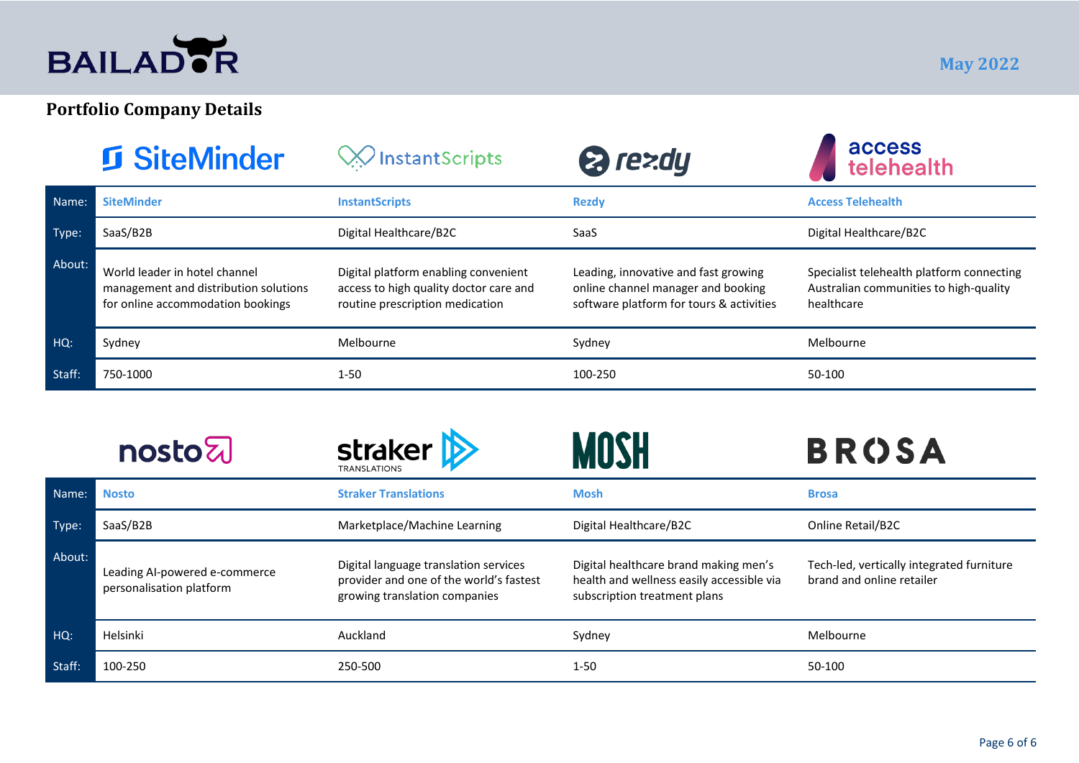

# **Portfolio Company Details**

|        | <b><u>f</u></b> SiteMinder                                                                                  | $\gg$ InstantScripts                                                                                              | 2 rezdy                                                                                                                | access<br>telehealth                                                                              |
|--------|-------------------------------------------------------------------------------------------------------------|-------------------------------------------------------------------------------------------------------------------|------------------------------------------------------------------------------------------------------------------------|---------------------------------------------------------------------------------------------------|
| Name:  | <b>SiteMinder</b>                                                                                           | <b>InstantScripts</b>                                                                                             | <b>Rezdy</b>                                                                                                           | <b>Access Telehealth</b>                                                                          |
| Type:  | SaaS/B2B                                                                                                    | Digital Healthcare/B2C                                                                                            | SaaS                                                                                                                   | Digital Healthcare/B2C                                                                            |
| About: | World leader in hotel channel<br>management and distribution solutions<br>for online accommodation bookings | Digital platform enabling convenient<br>access to high quality doctor care and<br>routine prescription medication | Leading, innovative and fast growing<br>online channel manager and booking<br>software platform for tours & activities | Specialist telehealth platform connecting<br>Australian communities to high-quality<br>healthcare |
| HQ:    | Sydney                                                                                                      | Melbourne                                                                                                         | Sydney                                                                                                                 | Melbourne                                                                                         |
| Staff: | 750-1000                                                                                                    | $1 - 50$                                                                                                          | 100-250                                                                                                                | 50-100                                                                                            |

|        | <b>nosto</b>                                              | <b>straker</b>                                                                                                    |                                                                                                                    | <b>BROSA</b>                                                           |
|--------|-----------------------------------------------------------|-------------------------------------------------------------------------------------------------------------------|--------------------------------------------------------------------------------------------------------------------|------------------------------------------------------------------------|
| Name:  | <b>Nosto</b>                                              | <b>Straker Translations</b>                                                                                       | <b>Mosh</b>                                                                                                        | <b>Brosa</b>                                                           |
| Type:  | SaaS/B2B                                                  | Marketplace/Machine Learning                                                                                      | Digital Healthcare/B2C                                                                                             | Online Retail/B2C                                                      |
| About: | Leading Al-powered e-commerce<br>personalisation platform | Digital language translation services<br>provider and one of the world's fastest<br>growing translation companies | Digital healthcare brand making men's<br>health and wellness easily accessible via<br>subscription treatment plans | Tech-led, vertically integrated furniture<br>brand and online retailer |
| $HG$ : | Helsinki                                                  | Auckland                                                                                                          | Sydney                                                                                                             | Melbourne                                                              |
| Staff: | 100-250                                                   | 250-500                                                                                                           | $1 - 50$                                                                                                           | 50-100                                                                 |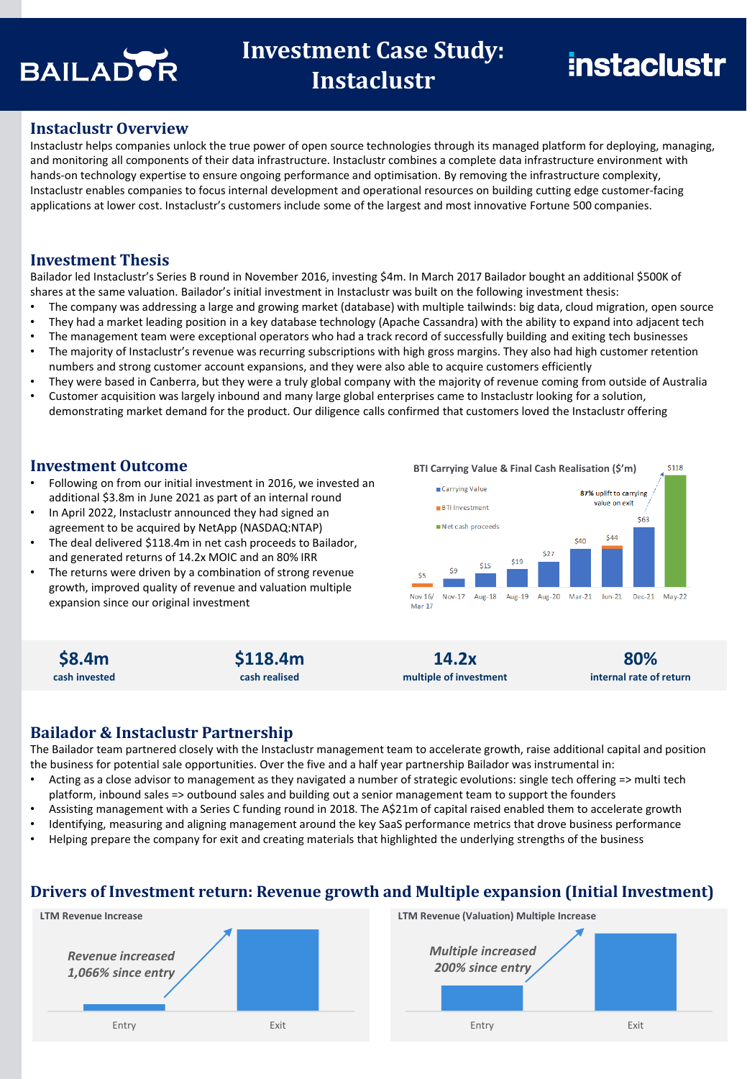

# **Investment Case Study: Instaclustr**

#### **Instaclustr Overview**

Instaclustr helps companies unlock the true power of open source technologies through its managed platform for deploying, managing, and monitoring all components of their data infrastructure. Instaclustr combines a complete data infrastructure environment with hands-on technology expertise to ensure ongoing performance and optimisation. By removing the infrastructure complexity, Instaclustr enables companies to focus internal development and operational resources on building cutting edge customer-facing applications at lower cost. Instaclustr's customers include some of the largest and most innovative Fortune 500 companies.

#### **Investment Thesis**

Bailador led Instaclustr's Series B round in November 2016, investing \$4m. In March 2017 Bailador bought an additional \$500K of shares at the same valuation. Bailador's initial investment in Instaclustr was built on the following investment thesis:

- The company was addressing a large and growing market (database) with multiple tailwinds: big data, cloud migration, open source
- They had a market leading position in a key database technology (Apache Cassandra) with the ability to expand into adjacent tech
- The management team were exceptional operators who had a track record of successfully building and exiting tech businesses
- The majority of Instaclustr's revenue was recurring subscriptions with high gross margins. They also had high customer retention numbers and strong customer account expansions, and they were also able to acquire customers efficiently
- They were based in Canberra, but they were a truly global company with the majority of revenue coming from outside of Australia
- Customer acquisition was largely inbound and many large global enterprises came to Instaclustr looking for a solution, demonstrating market demand for the product. Our diligence calls confirmed that customers loved the Instaclustr offering

#### **Investment Outcome**

- Following on from our initial investment in 2016, we invested an additional \$3.8m in June 2021 as part of an internal round
- In April 2022, Instaclustr announced they had signed an agreement to be acquired by NetApp (NASDAQ:NTAP)
- The deal delivered \$118.4m in net cash proceeds to Bailador, and generated returns of 14.2x MOIC and an 80% IRR
- The returns were driven by a combination of strong revenue growth, improved quality of revenue and valuation multiple expansion since our original investment



**\$8.4m cash invested**



**14.2x multiple of investment**

**80% internal rate of return**

#### **Bailador & Instaclustr Partnership**

The Bailador team partnered closely with the Instaclustr management team to accelerate growth, raise additional capital and position the business for potential sale opportunities. Over the five and a half year partnership Bailador was instrumental in:

- Acting as a close advisor to management as they navigated a number of strategic evolutions: single tech offering => multi tech platform, inbound sales => outbound sales and building out a senior management team to support the founders
- Assisting management with a Series C funding round in 2018. The A\$21m of capital raised enabled them to accelerate growth
- Identifying, measuring and aligning management around the key SaaS performance metrics that drove business performance
- Helping prepare the company for exit and creating materials that highlighted the underlying strengths of the business

#### **Drivers of Investment return: Revenue growth and Multiple expansion (Initial Investment)**